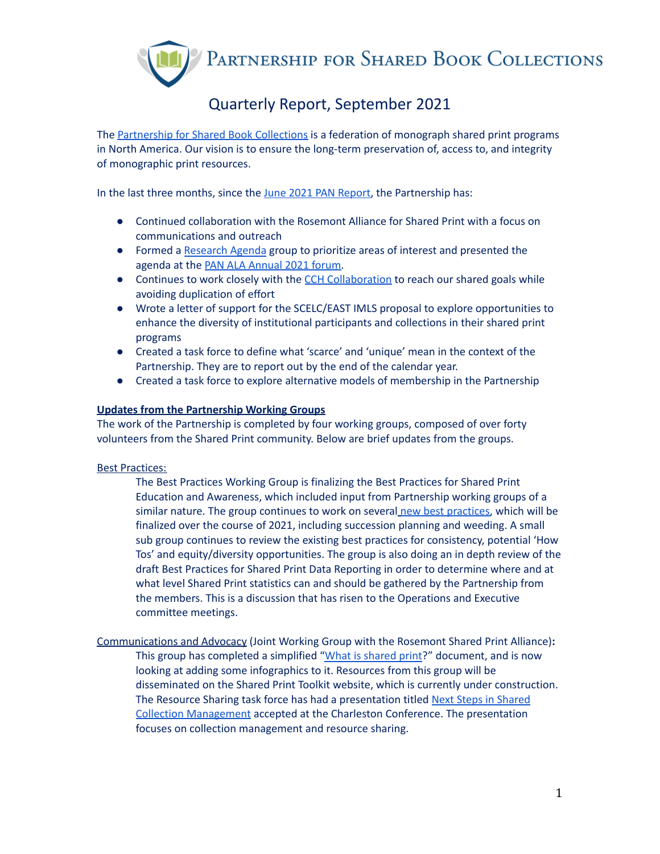PARTNERSHIP FOR SHARED BOOK COLLECTIONS

# Quarterly Report, September 2021

The [Partnership](https://sharedprint.org/) for Shared Book Collections is a federation of monograph shared print programs in North America. Our vision is to ensure the long-term preservation of, access to, and integrity of monographic print resources.

In the last three months, since the June 2021 PAN [Report,](https://sharedprint.org/wp-content/uploads/Partnership-PAN-Report-June-2021.pdf) the Partnership has:

- Continued collaboration with the Rosemont Alliance for Shared Print with a focus on communications and outreach
- Formed a [Research](https://docs.google.com/document/d/1wcmsPK6HMwGHfPngdgjRpt0vjTg27_TNDK807m70QU0/edit) Agenda group to prioritize areas of interest and presented the agenda at the PAN ALA [Annual](https://www.crl.edu/events/pan-ala-annual-2021-online) 2021 forum.
- Continues to work closely with the CCH [Collaboration](https://www.cchcollab.org/) to reach our shared goals while avoiding duplication of effort
- Wrote a letter of support for the SCELC/EAST IMLS proposal to explore opportunities to enhance the diversity of institutional participants and collections in their shared print programs
- Created a task force to define what 'scarce' and 'unique' mean in the context of the Partnership. They are to report out by the end of the calendar year.
- Created a task force to explore alternative models of membership in the Partnership

## **Updates from the Partnership Working Groups**

The work of the Partnership is completed by four working groups, composed of over forty volunteers from the Shared Print community. Below are brief updates from the groups.

## Best [Practices:](https://sharedprint.org/about/working-groups/best-practices/)

The Best Practices Working Group is finalizing the Best Practices for Shared Print Education and Awareness, which included input from Partnership working groups of a similar nature. The group continues to work on several new best [practices,](https://sharedprint.org/best-practices/additional-best-practices-under-development/) which will be finalized over the course of 2021, including succession planning and weeding. A small sub group continues to review the existing best practices for consistency, potential 'How Tos' and equity/diversity opportunities. The group is also doing an in depth review of the draft Best Practices for Shared Print Data Reporting in order to determine where and at what level Shared Print statistics can and should be gathered by the Partnership from the members. This is a discussion that has risen to the Operations and Executive committee meetings.

[Communications](https://sharedprint.org/about/working-groups/communications/) and Advocacy (Joint Working Group with the Rosemont Shared Print Alliance)**:** This group has completed a simplified "What is [shared](https://docs.google.com/document/d/1VAq16-nyDYJ3VWLwfQG-bMc1pXNt9YvUPLXs9an4Ubc/edit) print?" document, and is now looking at adding some infographics to it. Resources from this group will be disseminated on the Shared Print Toolkit website, which is currently under construction. The Resource Sharing task force has had a presentation titled Next Steps in [Shared](https://2021charlestonconference.pathable.co/meetings/virtual/DXFZNDaTJzYu4s2Xm) Collection [Management](https://2021charlestonconference.pathable.co/meetings/virtual/DXFZNDaTJzYu4s2Xm) accepted at the Charleston Conference. The presentation focuses on collection management and resource sharing.